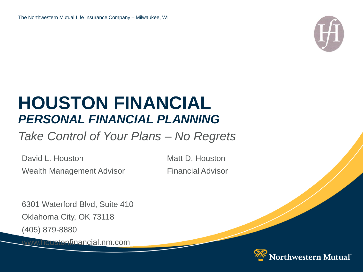

### **HOUSTON FINANCIAL** *PERSONAL FINANCIAL PLANNING*

*Take Control of Your Plans – No Regrets*

David L. Houston Matt D. Houston Wealth Management Advisor Financial Advisor

6301 Waterford Blvd, Suite 410 Oklahoma City, OK 73118 (405) 879-8880

www.houstonfinancial.nm.com

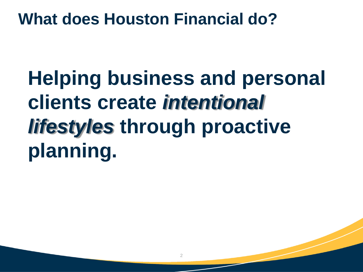### **What does Houston Financial do?**

**Helping business and personal clients create** *intentional lifestyles* **through proactive planning.**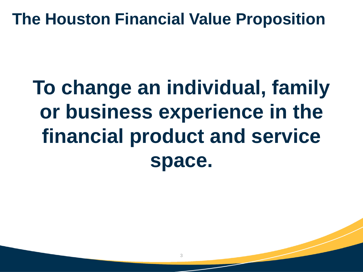### **The Houston Financial Value Proposition**

# **To change an individual, family or business experience in the financial product and service space.**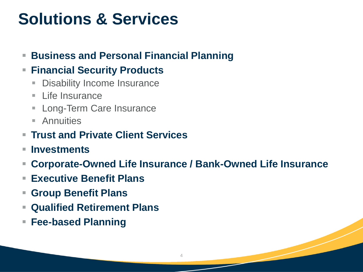## **Solutions & Services**

### ■ **Business and Personal Financial Planning**

### ▪ **Financial Security Products**

- **Disability Income Insurance**
- Life Insurance
- **E** Long-Term Care Insurance
- **Annuities**
- **Trust and Private Client Services**
- **Investments**
- **Corporate-Owned Life Insurance / Bank-Owned Life Insurance**

4

- **Executive Benefit Plans**
- **Group Benefit Plans**
- **Qualified Retirement Plans**
- **Fee-based Planning**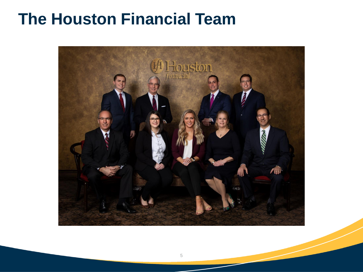### **The Houston Financial Team**

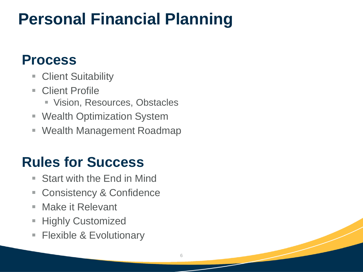## **Personal Financial Planning**

### **Process**

- **Client Suitability**
- Client Profile
	- Vision, Resources, Obstacles
- Wealth Optimization System
- Wealth Management Roadmap

### **Rules for Success**

- Start with the End in Mind
- Consistency & Confidence
- Make it Relevant
- **Highly Customized**
- **Filexible & Evolutionary**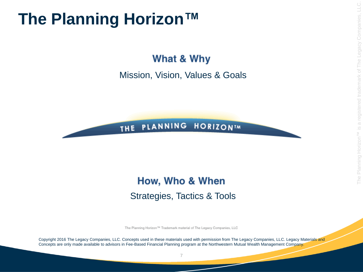### **The Planning Horizon™**

What & Why

Mission, Vision, Values & Goals

### THE PLANNING HORIZONIM

### How, Who & When Strategies, Tactics & Tools

The Planning Horizon™ Trademark material of The Legacy Companies, LLC

Copyright 2016 The Legacy Companies, LLC. Concepts used in these materials used with permission from The Legacy Companies, LLC. Legacy Materials and Concepts are only made available to advisors in Fee-Based Financial Planning program at the Northwestern Mutual Wealth Management Company.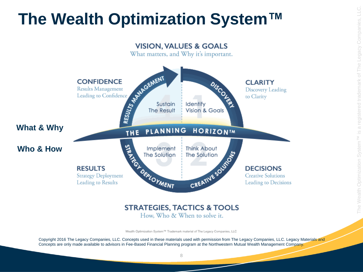## **The Wealth Optimization System™**



How, Who & When to solve it.

Wealth Optimization System™ Trademark material of The Legacy Companies, LLC

Copyright 2016 The Legacy Companies, LLC. Concepts used in these materials used with permission from The Legacy Companies, LLC. Legacy Materials and Concepts are only made available to advisors in Fee-Based Financial Planning program at the Northwestern Mutual Wealth Management Company.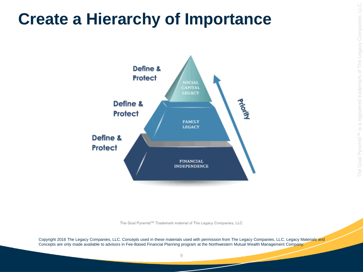### **Create a Hierarchy of Importance**



The Goal Pyramid<sup>na</sup> Trademark material of The Legacy Companies, LLC

Copyright 2016 The Legacy Companies, LLC. Concepts used in these materials used with permission from The Legacy Companies, LLC. Legacy Materials and Concepts are only made available to advisors in Fee-Based Financial Planning program at the Northwestern Mutual Wealth Management Company.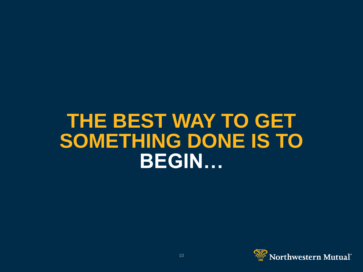## **THE BEST WAY TO GET SOMETHING DONE IS TO BEGIN…**